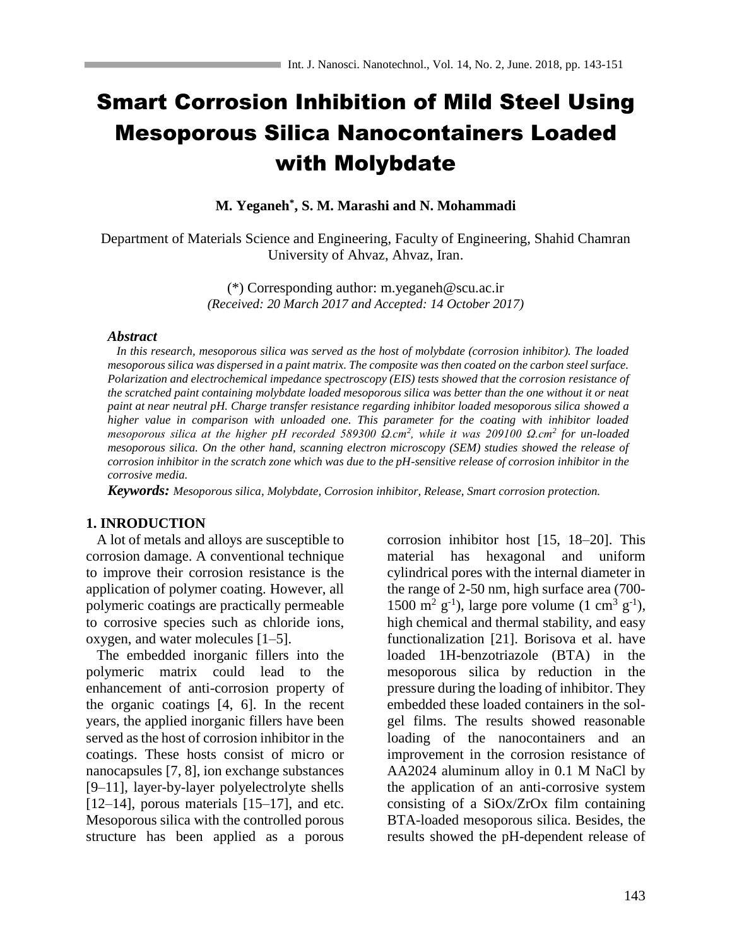# Smart Corrosion Inhibition of Mild Steel Using Mesoporous Silica Nanocontainers Loaded with Molybdate

**M. Yeganeh\* , S. M. Marashi and N. Mohammadi**

Department of Materials Science and Engineering, Faculty of Engineering, Shahid Chamran University of Ahvaz, Ahvaz, Iran.

> (\*) Corresponding author: m.yeganeh@scu.ac.ir *(Received: 20 March 2017 and Accepted: 14 October 2017)*

### *Abstract*

 *In this research, mesoporous silica was served as the host of molybdate (corrosion inhibitor). The loaded mesoporous silica was dispersed in a paint matrix. The composite was then coated on the carbon steel surface. Polarization and electrochemical impedance spectroscopy (EIS) tests showed that the corrosion resistance of the scratched paint containing molybdate loaded mesoporous silica was better than the one without it or neat paint at near neutral pH. Charge transfer resistance regarding inhibitor loaded mesoporous silica showed a higher value in comparison with unloaded one. This parameter for the coating with inhibitor loaded mesoporous silica at the higher pH recorded 589300 Ω.cm<sup>2</sup> , while it was 209100 Ω.cm<sup>2</sup> for un-loaded mesoporous silica. On the other hand, scanning electron microscopy (SEM) studies showed the release of corrosion inhibitor in the scratch zone which was due to the pH-sensitive release of corrosion inhibitor in the corrosive media.* 

*Keywords: Mesoporous silica, Molybdate, Corrosion inhibitor, Release, Smart corrosion protection.*

# **1. INRODUCTION**

 A lot of metals and alloys are susceptible to corrosion damage. A conventional technique to improve their corrosion resistance is the application of polymer coating. However, all polymeric coatings are practically permeable to corrosive species such as chloride ions, oxygen, and water molecules [1–5].

 The embedded inorganic fillers into the polymeric matrix could lead to the enhancement of anti-corrosion property of the organic coatings [4, 6]. In the recent years, the applied inorganic fillers have been served as the host of corrosion inhibitor in the coatings. These hosts consist of micro or nanocapsules [7, 8], ion exchange substances [9–11], layer-by-layer polyelectrolyte shells  $[12–14]$ , porous materials  $[15–17]$ , and etc. Mesoporous silica with the controlled porous structure has been applied as a porous

corrosion inhibitor host [15, 18–20]. This material has hexagonal and uniform cylindrical pores with the internal diameter in the range of 2-50 nm, high surface area (700- 1500 m<sup>2</sup> g<sup>-1</sup>), large pore volume (1 cm<sup>3</sup> g<sup>-1</sup>), high chemical and thermal stability, and easy functionalization [21]. Borisova et al. have loaded 1H-benzotriazole (BTA) in the mesoporous silica by reduction in the pressure during the loading of inhibitor. They embedded these loaded containers in the solgel films. The results showed reasonable loading of the nanocontainers and an improvement in the corrosion resistance of AA2024 aluminum alloy in 0.1 M NaCl by the application of an anti-corrosive system consisting of a SiOx/ZrOx film containing BTA-loaded mesoporous silica. Besides, the results showed the pH-dependent release of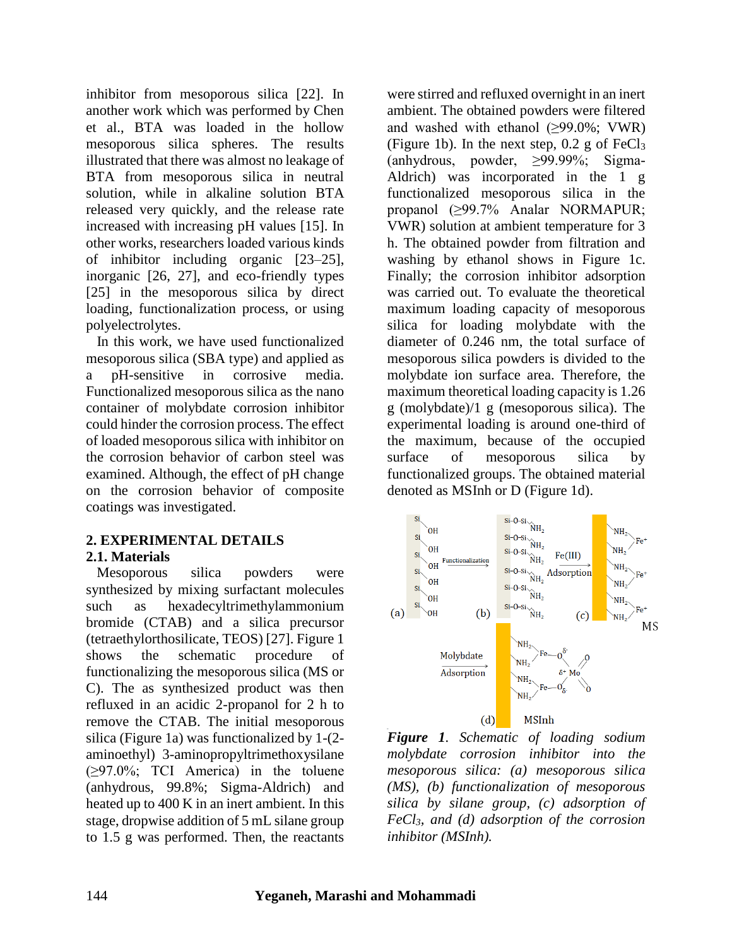inhibitor from mesoporous silica [22]. In another work which was performed by Chen et al., BTA was loaded in the hollow mesoporous silica spheres. The results illustrated that there was almost no leakage of BTA from mesoporous silica in neutral solution, while in alkaline solution BTA released very quickly, and the release rate increased with increasing pH values [15]. In other works, researchers loaded various kinds of inhibitor including organic [23–25], inorganic [26, 27], and eco-friendly types [25] in the mesoporous silica by direct loading, functionalization process, or using polyelectrolytes.

 In this work, we have used functionalized mesoporous silica (SBA type) and applied as a pH-sensitive in corrosive media. Functionalized mesoporous silica as the nano container of molybdate corrosion inhibitor could hinder the corrosion process. The effect of loaded mesoporous silica with inhibitor on the corrosion behavior of carbon steel was examined. Although, the effect of pH change on the corrosion behavior of composite coatings was investigated.

# **2. EXPERIMENTAL DETAILS 2.1. Materials**

Mesoporous silica powders were synthesized by mixing surfactant molecules such as hexadecyltrimethylammonium bromide (CTAB) and a silica precursor (tetraethylorthosilicate, TEOS) [27]. Figure 1 shows the schematic procedure of functionalizing the mesoporous silica (MS or C). The as synthesized product was then refluxed in an acidic 2-propanol for 2 h to remove the CTAB. The initial mesoporous silica (Figure 1a) was functionalized by 1-(2 aminoethyl) 3-aminopropyltrimethoxysilane (≥97.0%; TCI America) in the toluene (anhydrous, 99.8%; Sigma-Aldrich) and heated up to 400 K in an inert ambient. In this stage, dropwise addition of 5 mL silane group to 1.5 g was performed. Then, the reactants

were stirred and refluxed overnight in an inert ambient. The obtained powders were filtered and washed with ethanol  $(\geq 99.0\%; VWR)$ (Figure 1b). In the next step,  $0.2$  g of FeCl<sub>3</sub> (anhydrous, powder, ≥99.99%; Sigma-Aldrich) was incorporated in the 1 g functionalized mesoporous silica in the propanol (≥99.7% Analar NORMAPUR; VWR) solution at ambient temperature for 3 h. The obtained powder from filtration and washing by ethanol shows in Figure 1c. Finally; the corrosion inhibitor adsorption was carried out. To evaluate the theoretical maximum loading capacity of mesoporous silica for loading molybdate with the diameter of 0.246 nm, the total surface of mesoporous silica powders is divided to the molybdate ion surface area. Therefore, the maximum theoretical loading capacity is 1.26 g (molybdate)/1 g (mesoporous silica). The experimental loading is around one-third of the maximum, because of the occupied surface of mesoporous silica by functionalized groups. The obtained material denoted as MSInh or D (Figure 1d).



*Figure 1. Schematic of loading sodium molybdate corrosion inhibitor into the mesoporous silica: (a) mesoporous silica (MS), (b) functionalization of mesoporous silica by silane group, (c) adsorption of FeCl3, and (d) adsorption of the corrosion inhibitor (MSInh).*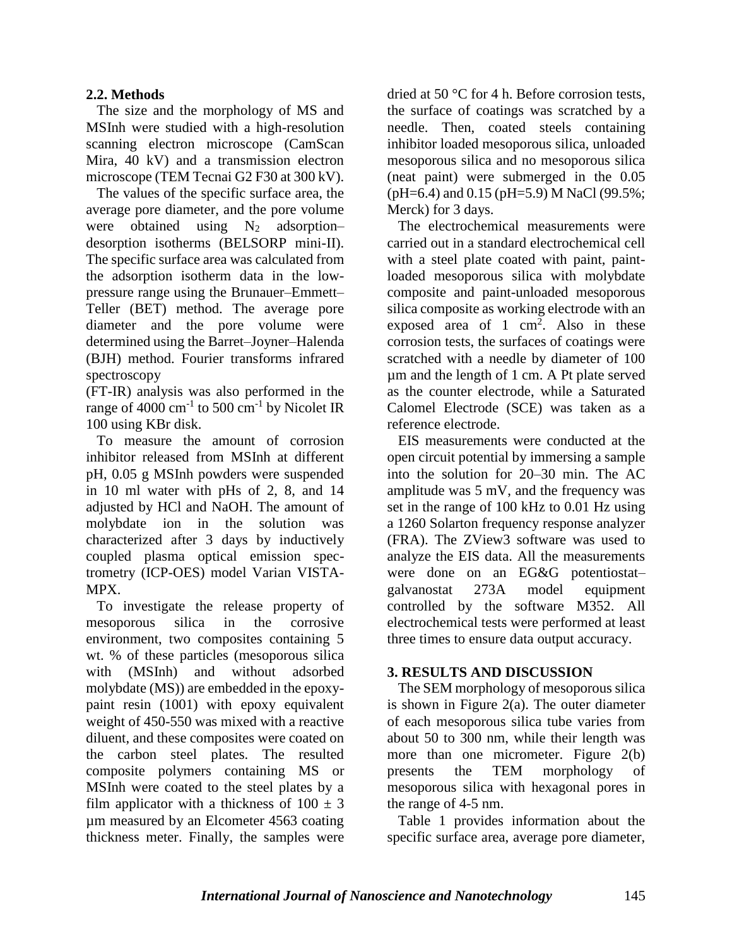# **2.2. Methods**

 The size and the morphology of MS and MSInh were studied with a high-resolution scanning electron microscope (CamScan Mira, 40 kV) and a transmission electron microscope (TEM Tecnai G2 F30 at 300 kV).

 The values of the specific surface area, the average pore diameter, and the pore volume were obtained using  $N_2$  adsorption– desorption isotherms (BELSORP mini-II). The specific surface area was calculated from the adsorption isotherm data in the lowpressure range using the Brunauer–Emmett– Teller (BET) method. The average pore diameter and the pore volume were determined using the Barret–Joyner–Halenda (BJH) method. Fourier transforms infrared spectroscopy

(FT-IR) analysis was also performed in the range of 4000  $\text{cm}^{-1}$  to 500  $\text{cm}^{-1}$  by Nicolet IR 100 using KBr disk.

 To measure the amount of corrosion inhibitor released from MSInh at different pH, 0.05 g MSInh powders were suspended in 10 ml water with pHs of 2, 8, and 14 adjusted by HCl and NaOH. The amount of molybdate ion in the solution was characterized after 3 days by inductively coupled plasma optical emission spectrometry (ICP-OES) model Varian VISTA-MPX.

 To investigate the release property of mesoporous silica in the corrosive environment, two composites containing 5 wt. % of these particles (mesoporous silica with (MSInh) and without adsorbed molybdate (MS)) are embedded in the epoxypaint resin (1001) with epoxy equivalent weight of 450-550 was mixed with a reactive diluent, and these composites were coated on the carbon steel plates. The resulted composite polymers containing MS or MSInh were coated to the steel plates by a film applicator with a thickness of  $100 \pm 3$ µm measured by an Elcometer 4563 coating thickness meter. Finally, the samples were

dried at 50 °C for 4 h. Before corrosion tests, the surface of coatings was scratched by a needle. Then, coated steels containing inhibitor loaded mesoporous silica, unloaded mesoporous silica and no mesoporous silica (neat paint) were submerged in the 0.05 (pH=6.4) and 0.15 (pH=5.9) M NaCl (99.5%; Merck) for 3 days.

 The electrochemical measurements were carried out in a standard electrochemical cell with a steel plate coated with paint, paintloaded mesoporous silica with molybdate composite and paint-unloaded mesoporous silica composite as working electrode with an exposed area of 1  $\text{cm}^2$ . Also in these corrosion tests, the surfaces of coatings were scratched with a needle by diameter of 100 µm and the length of 1 cm. A Pt plate served as the counter electrode, while a Saturated Calomel Electrode (SCE) was taken as a reference electrode.

 EIS measurements were conducted at the open circuit potential by immersing a sample into the solution for 20–30 min. The AC amplitude was 5 mV, and the frequency was set in the range of 100 kHz to 0.01 Hz using a 1260 Solarton frequency response analyzer (FRA). The ZView3 software was used to analyze the EIS data. All the measurements were done on an EG&G potentiostat– galvanostat 273A model equipment controlled by the software M352. All electrochemical tests were performed at least three times to ensure data output accuracy.

# **3. RESULTS AND DISCUSSION**

The SEM morphology of mesoporous silica is shown in Figure  $2(a)$ . The outer diameter of each mesoporous silica tube varies from about 50 to 300 nm, while their length was more than one micrometer. Figure 2(b) presents the TEM morphology of mesoporous silica with hexagonal pores in the range of 4-5 nm.

 Table 1 provides information about the specific surface area, average pore diameter,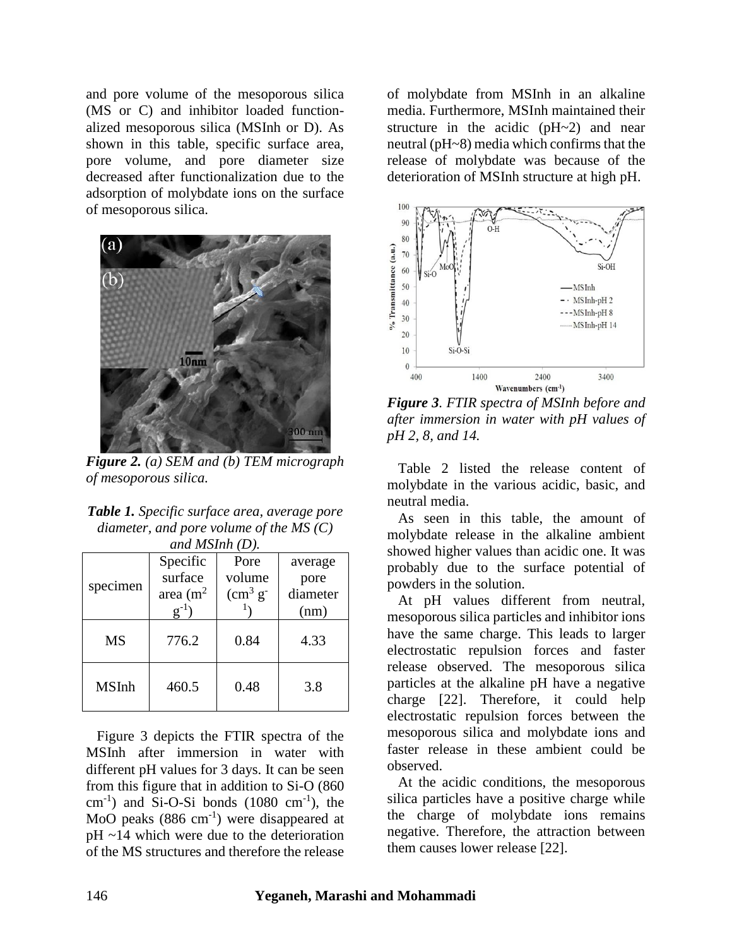and pore volume of the mesoporous silica (MS or C) and inhibitor loaded functionalized mesoporous silica (MSInh or D). As shown in this table, specific surface area, pore volume, and pore diameter size decreased after functionalization due to the adsorption of molybdate ions on the surface of mesoporous silica.



*Figure 2. (a) SEM and (b) TEM micrograph of mesoporous silica.*

| <b>Table 1.</b> Specific surface area, average pore |
|-----------------------------------------------------|
| diameter, and pore volume of the MS $(C)$           |
| and $MSInh(D)$ .                                    |

|              | Specific     | Pore                | average  |
|--------------|--------------|---------------------|----------|
| specimen     | surface      | volume              | pore     |
|              | area $(m^2)$ | $\rm (cm^3 \, g^-)$ | diameter |
|              |              |                     | (nm)     |
| <b>MS</b>    | 776.2        | 0.84                | 4.33     |
| <b>MSInh</b> | 460.5        | 0.48                | 3.8      |

 Figure 3 depicts the FTIR spectra of the MSInh after immersion in water with different pH values for 3 days. It can be seen from this figure that in addition to Si-O (860  $\text{cm}^{-1}$ ) and Si-O-Si bonds (1080  $\text{cm}^{-1}$ ), the MoO peaks  $(886 \text{ cm}^{-1})$  were disappeared at pH ~14 which were due to the deterioration of the MS structures and therefore the release

of molybdate from MSInh in an alkaline media. Furthermore, MSInh maintained their structure in the acidic (pH~2) and near neutral (pH~8) media which confirms that the release of molybdate was because of the deterioration of MSInh structure at high pH.



*Figure 3. FTIR spectra of MSInh before and after immersion in water with pH values of pH 2, 8, and 14.*

Table 2 listed the release content of molybdate in the various acidic, basic, and neutral media.

 As seen in this table, the amount of molybdate release in the alkaline ambient showed higher values than acidic one. It was probably due to the surface potential of powders in the solution.

 At pH values different from neutral, mesoporous silica particles and inhibitor ions have the same charge. This leads to larger electrostatic repulsion forces and faster release observed. The mesoporous silica particles at the alkaline pH have a negative charge [22]. Therefore, it could help electrostatic repulsion forces between the mesoporous silica and molybdate ions and faster release in these ambient could be observed.

 At the acidic conditions, the mesoporous silica particles have a positive charge while the charge of molybdate ions remains negative. Therefore, the attraction between them causes lower release [22].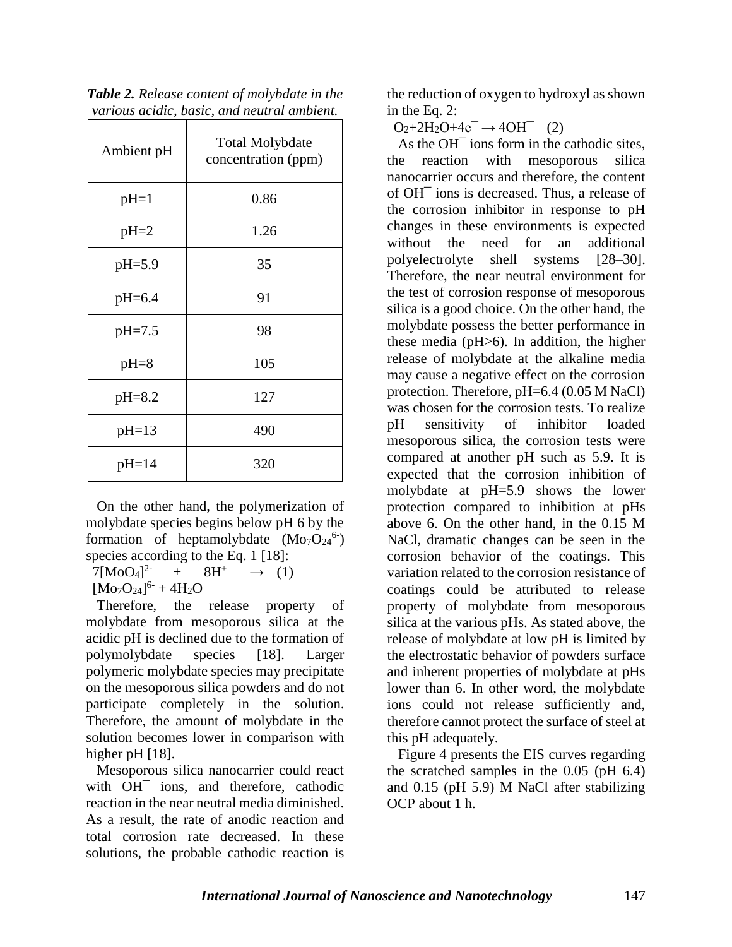| Ambient pH | <b>Total Molybdate</b><br>concentration (ppm) |  |  |
|------------|-----------------------------------------------|--|--|
| $pH=1$     | 0.86                                          |  |  |
| $pH=2$     | 1.26                                          |  |  |
| $pH=5.9$   | 35                                            |  |  |
| $pH=6.4$   | 91                                            |  |  |
| $pH = 7.5$ | 98                                            |  |  |
| $pH=8$     | 105                                           |  |  |
| $pH=8.2$   | 127                                           |  |  |
| $pH=13$    | 490                                           |  |  |
| $pH=14$    | 320                                           |  |  |

| Table 2. Release content of molybdate in the |  |
|----------------------------------------------|--|
| various acidic, basic, and neutral ambient.  |  |

 On the other hand, the polymerization of molybdate species begins below pH 6 by the formation of heptamolybdate  $(Mo<sub>7</sub>O<sub>24</sub><sup>6</sup>)$ species according to the Eq. 1 [18]:

 $7[M_0O_4]^{2}$  $+$  8H<sup>+</sup>  $\rightarrow$  (1)

 $[Mo_7O_{24}]^{6} + 4H_2O$ 

 Therefore, the release property of molybdate from mesoporous silica at the acidic pH is declined due to the formation of polymolybdate species [18]. Larger polymeric molybdate species may precipitate on the mesoporous silica powders and do not participate completely in the solution. Therefore, the amount of molybdate in the solution becomes lower in comparison with higher pH [18].

Mesoporous silica nanocarrier could react with OH<sup>-</sup> ions, and therefore, cathodic reaction in the near neutral media diminished. As a result, the rate of anodic reaction and total corrosion rate decreased. In these solutions, the probable cathodic reaction is

the reduction of oxygen to hydroxyl as shown in the Eq. 2:

 $O_2 + 2H_2O + 4e^- \rightarrow 4OH^-$  (2)

As the OH<sup> $-$ </sup> ions form in the cathodic sites, the reaction with mesoporous silica nanocarrier occurs and therefore, the content of OH¯ ions is decreased. Thus, a release of the corrosion inhibitor in response to pH changes in these environments is expected without the need for an additional polyelectrolyte shell systems [28–30]. Therefore, the near neutral environment for the test of corrosion response of mesoporous silica is a good choice. On the other hand, the molybdate possess the better performance in these media (pH>6). In addition, the higher release of molybdate at the alkaline media may cause a negative effect on the corrosion protection. Therefore, pH=6.4 (0.05 M NaCl) was chosen for the corrosion tests. To realize pH sensitivity of inhibitor loaded mesoporous silica, the corrosion tests were compared at another pH such as 5.9. It is expected that the corrosion inhibition of molybdate at pH=5.9 shows the lower protection compared to inhibition at pHs above 6. On the other hand, in the 0.15 M NaCl, dramatic changes can be seen in the corrosion behavior of the coatings. This variation related to the corrosion resistance of coatings could be attributed to release property of molybdate from mesoporous silica at the various pHs. As stated above, the release of molybdate at low pH is limited by the electrostatic behavior of powders surface and inherent properties of molybdate at pHs lower than 6. In other word, the molybdate ions could not release sufficiently and, therefore cannot protect the surface of steel at this pH adequately.

Figure 4 presents the EIS curves regarding the scratched samples in the 0.05 (pH 6.4) and 0.15 (pH 5.9) M NaCl after stabilizing OCP about 1 h.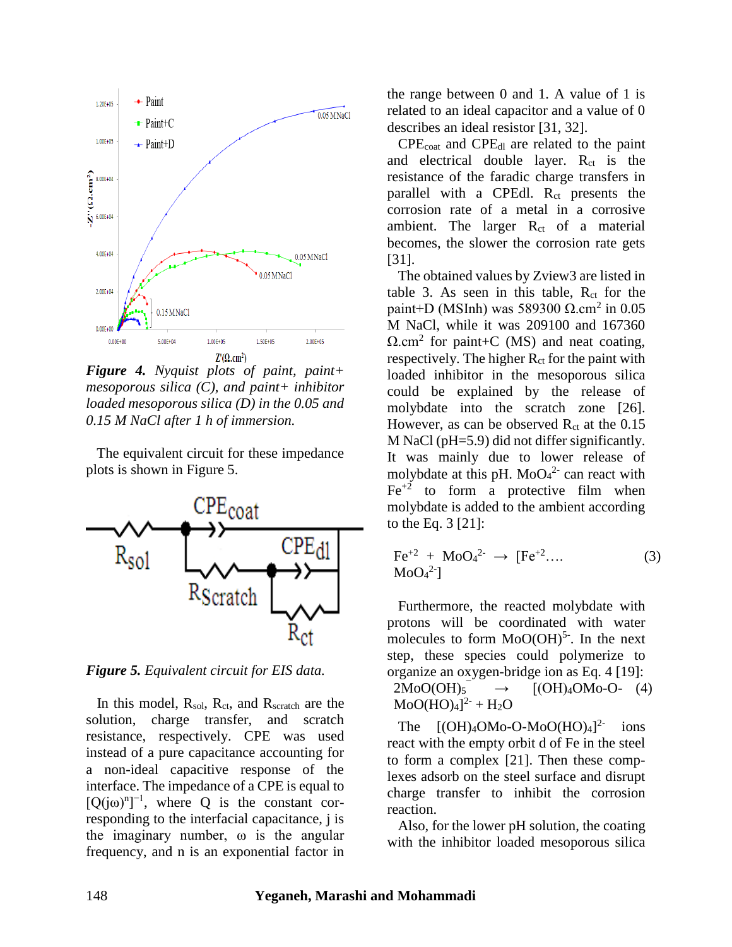

*Figure 4. Nyquist plots of paint, paint+ mesoporous silica (C), and paint+ inhibitor loaded mesoporous silica (D) in the 0.05 and 0.15 M NaCl after 1 h of immersion.*

 The equivalent circuit for these impedance plots is shown in Figure 5.



*Figure 5. Equivalent circuit for EIS data.*

In this model,  $R_{sol}$ ,  $R_{ct}$ , and  $R_{scratch}$  are the solution, charge transfer, and scratch resistance, respectively. CPE was used instead of a pure capacitance accounting for a non-ideal capacitive response of the interface. The impedance of a CPE is equal to  $[Q(j\omega)^n]^{-1}$ , where Q is the constant corresponding to the interfacial capacitance, j is the imaginary number, ω is the angular frequency, and n is an exponential factor in the range between 0 and 1. A value of 1 is related to an ideal capacitor and a value of 0 describes an ideal resistor [31, 32].

 CPEcoat and CPEdl are related to the paint and electrical double layer.  $R_{ct}$  is the resistance of the faradic charge transfers in parallel with a CPEdl. R<sub>ct</sub> presents the corrosion rate of a metal in a corrosive ambient. The larger  $R_{ct}$  of a material becomes, the slower the corrosion rate gets [31].

 The obtained values by Zview3 are listed in table 3. As seen in this table,  $R_{ct}$  for the paint+D (MSInh) was 589300 Ω.cm<sup>2</sup> in 0.05 M NaCl, while it was 209100 and 167360  $\Omega$ .cm<sup>2</sup> for paint+C (MS) and neat coating, respectively. The higher  $R_{ct}$  for the paint with loaded inhibitor in the mesoporous silica could be explained by the release of molybdate into the scratch zone [26]. However, as can be observed  $R_{ct}$  at the 0.15 M NaCl (pH=5.9) did not differ significantly. It was mainly due to lower release of molybdate at this pH.  $MoO<sub>4</sub><sup>2</sup>$  can react with  $Fe^{+2}$  to form a protective film when molybdate is added to the ambient according to the Eq. 3 [21]:

$$
\text{Fe}^{+2} + \text{MoO}_4{}^{2} \rightarrow \text{[Fe}^{+2} \dots \tag{3}
$$
  

$$
\text{MoO}_4{}^{2} \text{]}
$$

 Furthermore, the reacted molybdate with protons will be coordinated with water molecules to form  $MoO(OH)<sup>5</sup>$ . In the next step, these species could polymerize to organize an oxygen-bridge ion as Eq. 4 [19]:  $2MoO(OH)_{5}$  $\rightarrow$  [(OH)<sub>4</sub>OM<sub>0</sub>-O- (4)  $MoO(HO)_4]^2$ <sup>-</sup> + H<sub>2</sub>O

The  $[(OH)<sub>4</sub>OMo-O-MoO(HO)<sub>4</sub>]<sup>2</sup>$ ions react with the empty orbit d of Fe in the steel to form a complex [21]. Then these complexes adsorb on the steel surface and disrupt charge transfer to inhibit the corrosion reaction.

 Also, for the lower pH solution, the coating with the inhibitor loaded mesoporous silica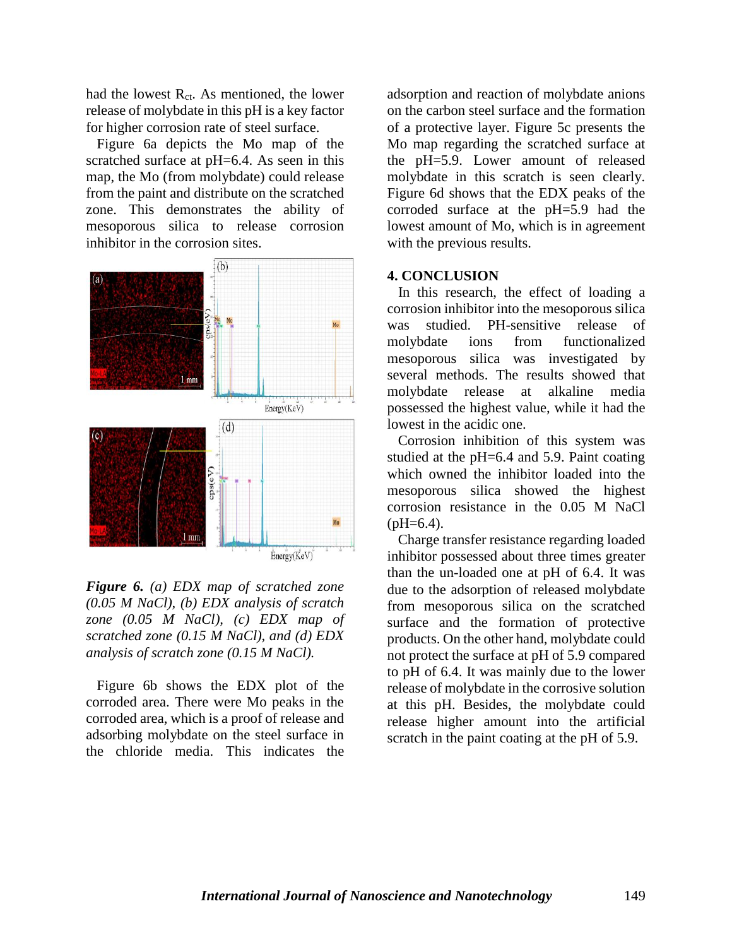had the lowest R<sub>ct</sub>. As mentioned, the lower release of molybdate in this pH is a key factor for higher corrosion rate of steel surface.

Figure 6a depicts the Mo map of the scratched surface at pH=6.4. As seen in this map, the Mo (from molybdate) could release from the paint and distribute on the scratched zone. This demonstrates the ability of mesoporous silica to release corrosion inhibitor in the corrosion sites.



*Figure 6. (a) EDX map of scratched zone (0.05 M NaCl), (b) EDX analysis of scratch zone (0.05 M NaCl), (c) EDX map of scratched zone (0.15 M NaCl), and (d) EDX analysis of scratch zone (0.15 M NaCl).*

 Figure 6b shows the EDX plot of the corroded area. There were Mo peaks in the corroded area, which is a proof of release and adsorbing molybdate on the steel surface in the chloride media. This indicates the

adsorption and reaction of molybdate anions on the carbon steel surface and the formation of a protective layer. Figure 5c presents the Mo map regarding the scratched surface at the pH=5.9. Lower amount of released molybdate in this scratch is seen clearly. Figure 6d shows that the EDX peaks of the corroded surface at the pH=5.9 had the lowest amount of Mo, which is in agreement with the previous results.

#### **4. CONCLUSION**

In this research, the effect of loading a corrosion inhibitor into the mesoporous silica was studied. PH-sensitive release of molybdate ions from functionalized mesoporous silica was investigated by several methods. The results showed that molybdate release at alkaline media possessed the highest value, while it had the lowest in the acidic one.

 Corrosion inhibition of this system was studied at the pH=6.4 and 5.9. Paint coating which owned the inhibitor loaded into the mesoporous silica showed the highest corrosion resistance in the 0.05 M NaCl  $(bH=6.4)$ .

 Charge transfer resistance regarding loaded inhibitor possessed about three times greater than the un-loaded one at pH of 6.4. It was due to the adsorption of released molybdate from mesoporous silica on the scratched surface and the formation of protective products. On the other hand, molybdate could not protect the surface at pH of 5.9 compared to pH of 6.4. It was mainly due to the lower release of molybdate in the corrosive solution at this pH. Besides, the molybdate could release higher amount into the artificial scratch in the paint coating at the pH of 5.9.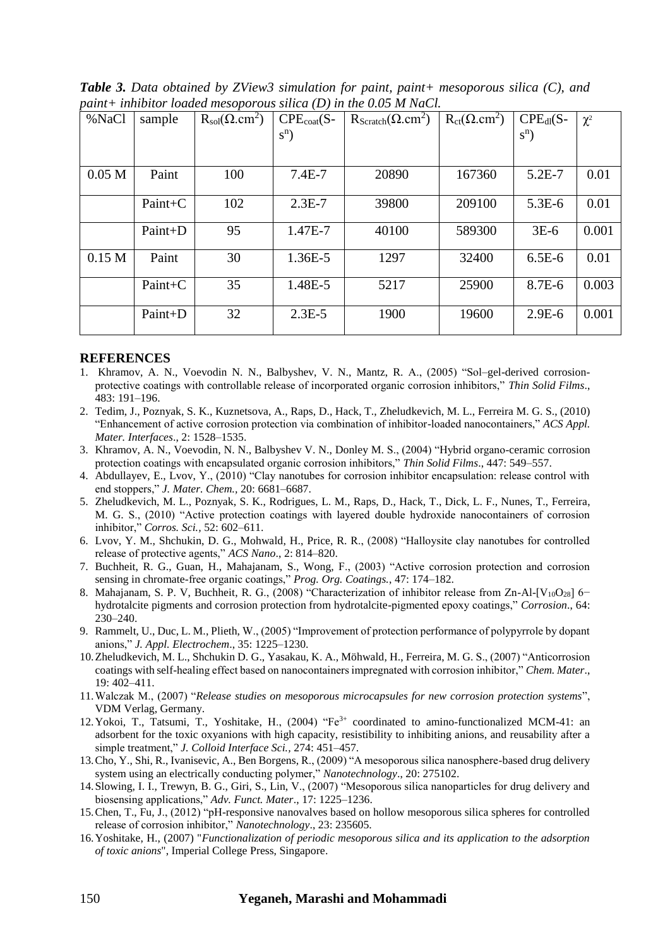*Table 3. Data obtained by ZView3 simulation for paint, paint+ mesoporous silica (C), and paint+ inhibitor loaded mesoporous silica (D) in the 0.05 M NaCl.*

| %NaCl             | sample    | $R_{sol}(\Omega, cm^2)$ | $CPEcot(S-$ | $R_{\text{Scratch}}(\Omega, \text{cm}^2)$ | $R_{ct}(\Omega.cm^2)$ | $CPEdl(S-$ | $\chi^2$ |
|-------------------|-----------|-------------------------|-------------|-------------------------------------------|-----------------------|------------|----------|
|                   |           |                         | $S^{n}$ )   |                                           |                       | $S^{n}$ )  |          |
|                   |           |                         |             |                                           |                       |            |          |
| 0.05 <sub>M</sub> | Paint     | 100                     | $7.4E-7$    | 20890                                     | 167360                | $5.2E - 7$ | 0.01     |
|                   |           |                         |             |                                           |                       |            |          |
|                   | $Paint+C$ | 102                     | $2.3E-7$    | 39800                                     | 209100                | $5.3E-6$   | 0.01     |
|                   |           |                         |             |                                           |                       |            |          |
|                   | Paint+D   | 95                      | 1.47E-7     | 40100                                     | 589300                | $3E-6$     | 0.001    |
|                   |           |                         |             |                                           |                       |            |          |
| 0.15 <sub>M</sub> | Paint     | 30                      | 1.36E-5     | 1297                                      | 32400                 | $6.5E-6$   | 0.01     |
|                   |           |                         |             |                                           |                       |            |          |
|                   | Paint+C   | 35                      | 1.48E-5     | 5217                                      | 25900                 | 8.7E-6     | 0.003    |
|                   |           |                         |             |                                           |                       |            |          |
|                   | Paint+D   | 32                      | $2.3E-5$    | 1900                                      | 19600                 | $2.9E-6$   | 0.001    |
|                   |           |                         |             |                                           |                       |            |          |

#### **REFERENCES**

- 1. Khramov, A. N., Voevodin N. N., Balbyshev, V. N., Mantz, R. A., (2005) "Sol–gel-derived corrosionprotective coatings with controllable release of incorporated organic corrosion inhibitors," *Thin Solid Films*., 483: 191–196.
- 2. Tedim, J., Poznyak, S. K., Kuznetsova, A., Raps, D., Hack, T., Zheludkevich, M. L., Ferreira M. G. S., (2010) "Enhancement of active corrosion protection via combination of inhibitor-loaded nanocontainers," *ACS Appl. Mater. Interfaces*., 2: 1528–1535.
- 3. Khramov, A. N., Voevodin, N. N., Balbyshev V. N., Donley M. S., (2004) "Hybrid organo-ceramic corrosion protection coatings with encapsulated organic corrosion inhibitors," *Thin Solid Films*., 447: 549–557.
- 4. Abdullayev, E., Lvov, Y., (2010) "Clay nanotubes for corrosion inhibitor encapsulation: release control with end stoppers," *J. Mater. Chem.,* 20: 6681–6687.
- 5. Zheludkevich, M. L., Poznyak, S. K., Rodrigues, L. M., Raps, D., Hack, T., Dick, L. F., Nunes, T., Ferreira, M. G. S., (2010) "Active protection coatings with layered double hydroxide nanocontainers of corrosion inhibitor," *Corros. Sci.,* 52: 602–611.
- 6. Lvov, Y. M., Shchukin, D. G., Mohwald, H., Price, R. R., (2008) "Halloysite clay nanotubes for controlled release of protective agents," *ACS Nano*., 2: 814–820.
- 7. Buchheit, R. G., Guan, H., Mahajanam, S., Wong, F., (2003) "Active corrosion protection and corrosion sensing in chromate-free organic coatings," *Prog. Org. Coatings.*, 47: 174–182.
- 8. Mahajanam, S. P. V, Buchheit, R. G., (2008) "Characterization of inhibitor release from Zn-Al-[V<sub>10</sub>O<sub>28</sub>] 6− hydrotalcite pigments and corrosion protection from hydrotalcite-pigmented epoxy coatings," *Corrosion*., 64: 230–240.
- 9. Rammelt, U., Duc, L. M., Plieth, W., (2005) "Improvement of protection performance of polypyrrole by dopant anions," *J. Appl. Electrochem*., 35: 1225–1230.
- 10.Zheludkevich, M. L., Shchukin D. G., Yasakau, K. A., Möhwald, H., Ferreira, M. G. S., (2007) "Anticorrosion coatings with self-healing effect based on nanocontainers impregnated with corrosion inhibitor," *Chem. Mater*., 19: 402–411.
- 11.Walczak M., (2007) "*Release studies on mesoporous microcapsules for new corrosion protection systems*", VDM Verlag, Germany.
- 12.Yokoi, T., Tatsumi, T., Yoshitake, H., (2004) "Fe3+ coordinated to amino-functionalized MCM-41: an adsorbent for the toxic oxyanions with high capacity, resistibility to inhibiting anions, and reusability after a simple treatment," *J. Colloid Interface Sci.,* 274: 451–457.
- 13.Cho, Y., Shi, R., Ivanisevic, A., Ben Borgens, R., (2009) "A mesoporous silica nanosphere-based drug delivery system using an electrically conducting polymer," *Nanotechnology*., 20: 275102.
- 14.Slowing, I. I., Trewyn, B. G., Giri, S., Lin, V., (2007) "Mesoporous silica nanoparticles for drug delivery and biosensing applications," *Adv. Funct. Mater*., 17: 1225–1236.
- 15.Chen, T., Fu, J., (2012) "pH-responsive nanovalves based on hollow mesoporous silica spheres for controlled release of corrosion inhibitor," *Nanotechnology*., 23: 235605.
- 16.Yoshitake, H., (2007) "*Functionalization of periodic mesoporous silica and its application to the adsorption of toxic anions*", Imperial College Press, Singapore.